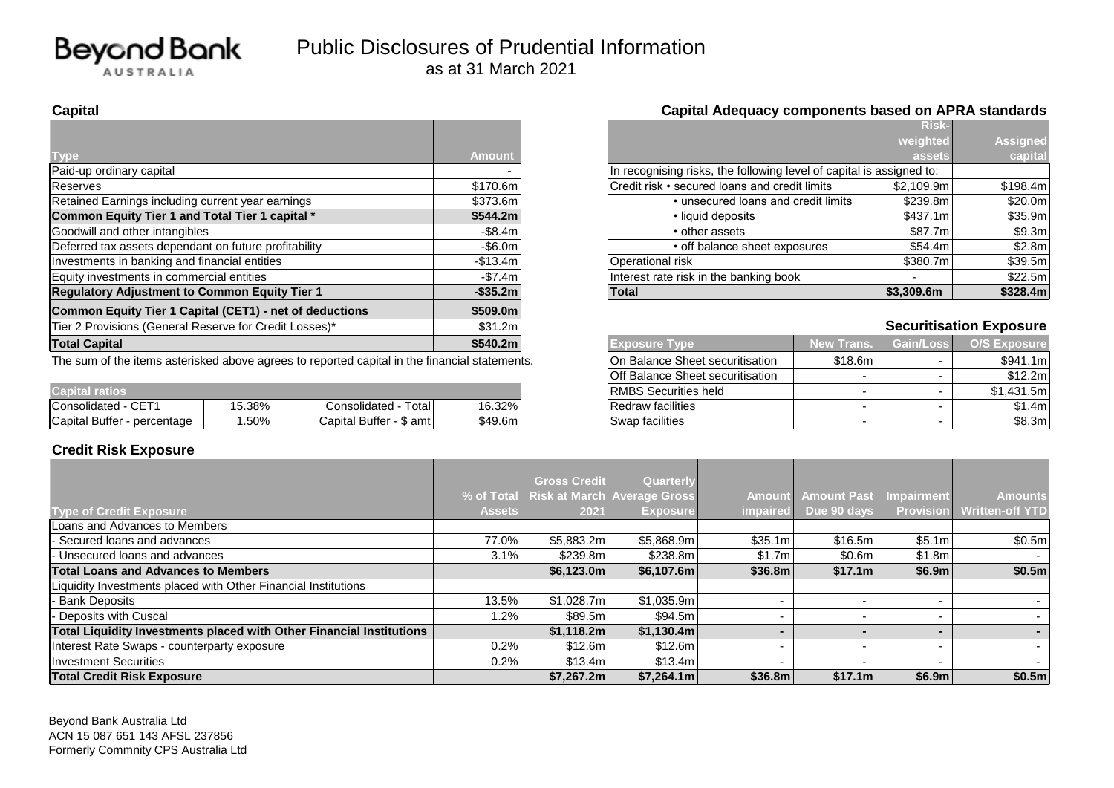

|                                                         |               |                                                                      |            | <b>RISK-</b> |                                |
|---------------------------------------------------------|---------------|----------------------------------------------------------------------|------------|--------------|--------------------------------|
|                                                         |               |                                                                      |            | weighted     | <b>Assigned</b>                |
| I ype                                                   | <b>Amount</b> |                                                                      |            | assets       | capital                        |
| Paid-up ordinary capital                                |               | In recognising risks, the following level of capital is assigned to: |            |              |                                |
| <b>Reserves</b>                                         | \$170.6m      | Credit risk • secured loans and credit limits                        |            | \$2.109.9m   | \$198.4m                       |
| Retained Earnings including current year earnings       | \$373.6m      | • unsecured loans and credit limits                                  |            | \$239.8m     | \$20.0m                        |
| Common Equity Tier 1 and Total Tier 1 capital *         | \$544.2m      | • liquid deposits                                                    |            | \$437.1m     | \$35.9m                        |
| Goodwill and other intangibles                          | $-$ \$8.4m    | • other assets                                                       |            | \$87.7m      | \$9.3m                         |
| Deferred tax assets dependant on future profitability   | $-$ \$6.0m    | • off balance sheet exposures                                        |            | \$54.4m      | \$2.8m                         |
| Investments in banking and financial entities           | $-$13.4m$     | Operational risk                                                     |            | \$380.7ml    | \$39.5m                        |
| Equity investments in commercial entities               | $-$ \$7.4m    | Interest rate risk in the banking book                               |            |              | \$22.5m                        |
| <b>Regulatory Adjustment to Common Equity Tier 1</b>    | $-$ \$35.2m   | <b>Total</b><br>\$3,309.6m                                           |            | \$328.4m     |                                |
| Common Equity Tier 1 Capital (CET1) - net of deductions | \$509.0m      |                                                                      |            |              |                                |
| Tier 2 Provisions (General Reserve for Credit Losses)*  | \$31.2m       |                                                                      |            |              | <b>Securitisation Exposure</b> |
| <b>Total Capital</b>                                    | \$540.2m      | <b>Exposure Type</b>                                                 | New Trans. | Gain/Loss    | <b>O/S Exposure</b>            |
| .                                                       |               | $\sim$ $\sim$ $\sim$ $\sim$ $\sim$ $\sim$                            |            |              |                                |

The sum of the items asterisked above agrees to reported capital in the financial statements.

|                                    |        |                                    |         | ________________________________ |  | - - - - - - - - - |
|------------------------------------|--------|------------------------------------|---------|----------------------------------|--|-------------------|
| apital ratios                      |        |                                    |         | IDMDC C.<br>Securities held      |  | 431.5m            |
| $\sim$ $ -$<br>Consolidated<br>UE. | 15.38% | Total<br>Consolidated              | 16.32%  | <b>Redraw facilities</b>         |  | 1.4m              |
| Capital Buffer<br>· percentage     | .50%   | <b>Buffer</b><br>Capital<br>\$ amt | \$49.6m | Swap facilities                  |  | \$8.3m            |

#### **Credit Risk Exposure**

|          |                                                                      | <b>Risk-</b> |                 |
|----------|----------------------------------------------------------------------|--------------|-----------------|
|          |                                                                      | weighted     | <b>Assigned</b> |
| nount    |                                                                      | assets.      | capital         |
|          | In recognising risks, the following level of capital is assigned to: |              |                 |
| 170.6m l | Credit risk • secured loans and credit limits                        | \$2,109.9m   | \$198.4m        |
| 373.6m l | • unsecured loans and credit limits                                  | \$239.8m     | \$20.0m         |
| 544.2ml  | • liquid deposits                                                    | \$437.1m     | \$35.9m         |
| -\$8.4m  | • other assets                                                       | \$87.7m      | \$9.3m          |
| -\$6.0m  | • off balance sheet exposures                                        | \$54.4m      | \$2.8m          |
| 513.4ml  | Operational risk                                                     | \$380.7m     | \$39.5m         |
| -\$7.4m  | Interest rate risk in the banking book                               |              | \$22.5m         |
| ኔ35.2m l | <b>Total</b>                                                         | \$3,309.6m   | \$328.4m        |

#### **Securitisation Exposure**

| <b>Exposure Type</b>             | <b>New Trans.</b> | Gain/Loss | O/S Exposure |
|----------------------------------|-------------------|-----------|--------------|
| On Balance Sheet securitisation  | \$18.6m           | -         | \$941.1m     |
| Off Balance Sheet securitisation | -                 | -         | \$12.2m      |
| <b>RMBS Securities held</b>      | -                 | -         | \$1,431.5m   |
| <b>Redraw facilities</b>         | -                 |           | \$1.4m       |
| Swap facilities                  | -                 | -         | \$8.3m       |

|                                                                      |               | <b>Gross Credit</b> | Quarterly                              |                 |                    |                  |                        |
|----------------------------------------------------------------------|---------------|---------------------|----------------------------------------|-----------------|--------------------|------------------|------------------------|
|                                                                      |               |                     | % of Total Risk at March Average Gross | <b>Amount</b>   | <b>Amount Past</b> | Impairment       | <b>Amounts</b>         |
| <b>Type of Credit Exposure</b>                                       | <b>Assets</b> | 2021                | <b>Exposure</b>                        | <i>impaired</i> | Due 90 days        | <b>Provision</b> | <b>Written-off YTD</b> |
| Loans and Advances to Members                                        |               |                     |                                        |                 |                    |                  |                        |
| Secured loans and advances                                           | 77.0%         | \$5,883.2m          | \$5,868.9m                             | \$35.1m         | \$16.5m            | \$5.1m           | \$0.5m                 |
| Unsecured loans and advances                                         | 3.1%          | \$239.8m            | \$238.8ml                              | \$1.7m          | \$0.6m             | \$1.8m           |                        |
| <b>Total Loans and Advances to Members</b>                           |               | \$6,123.0m\$        | \$6,107.6m                             | \$36.8m         | \$17.1m            | \$6.9m           | \$0.5m                 |
| Liquidity Investments placed with Other Financial Institutions       |               |                     |                                        |                 |                    |                  |                        |
| <b>Bank Deposits</b>                                                 | 13.5%         | \$1,028.7m          | \$1,035.9m                             |                 |                    |                  |                        |
| Deposits with Cuscal                                                 | $ .2\% $      | \$89.5m             | \$94.5m                                |                 |                    |                  |                        |
| Total Liquidity Investments placed with Other Financial Institutions |               | \$1,118.2m          | \$1,130.4m                             |                 |                    |                  |                        |
| Interest Rate Swaps - counterparty exposure                          | 0.2%          | \$12.6m             | \$12.6m                                |                 |                    |                  |                        |
| Investment Securities                                                | 0.2%          | \$13.4m             | \$13.4m                                |                 |                    |                  |                        |
| <b>Total Credit Risk Exposure</b>                                    |               | \$7,267.2m          | \$7,264.1m                             | \$36.8m         | \$17.1m            | \$6.9m           | \$0.5m                 |

Beyond Bank Australia Ltd ACN 15 087 651 143 AFSL 237856 Formerly Commnity CPS Australia Ltd

#### **Capital Capital Adequacy components based on APRA standards**